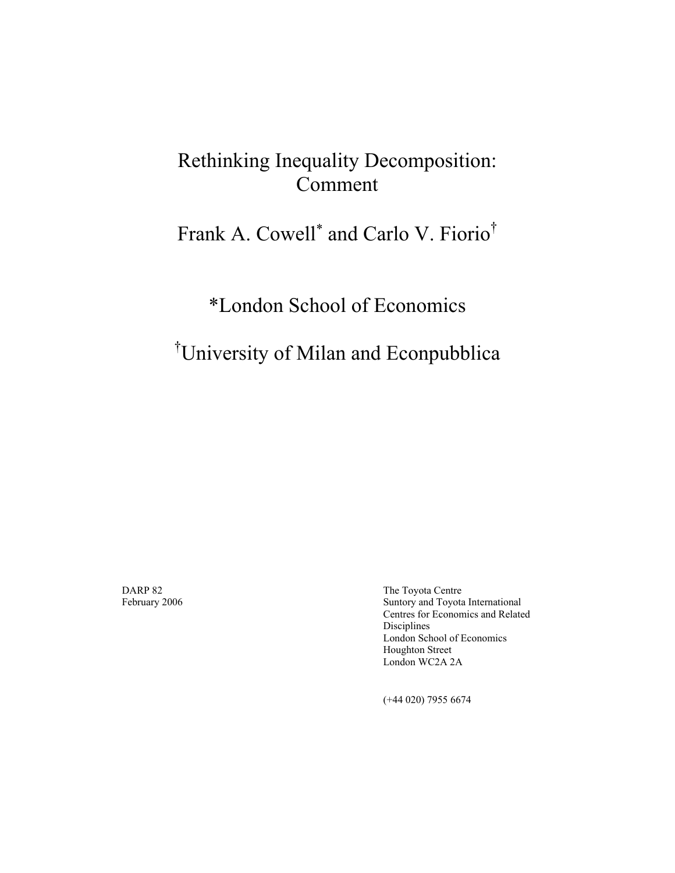## Rethinking Inequality Decomposition: Comment

## Frank A. Cowell<sup>\*</sup> and Carlo V. Fiorio<sup>†</sup>

## \*London School of Economics

## † University of Milan and Econpubblica

DARP 82The Toyota Centre February 2006 Suntory and Toyota International Centres for Economics and Related Disciplines London School of Economics Houghton Street London WC2A 2A

(+44 020) 7955 6674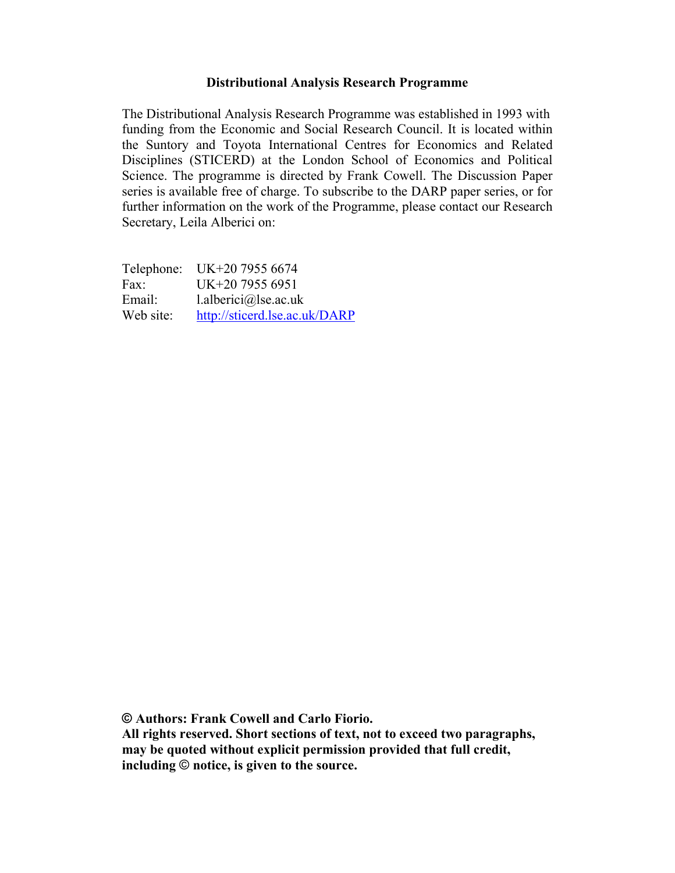#### **Distributional Analysis Research Programme**

The Distributional Analysis Research Programme was established in 1993 with funding from the Economic and Social Research Council. It is located within the Suntory and Toyota International Centres for Economics and Related Disciplines (STICERD) at the London School of Economics and Political Science. The programme is directed by Frank Cowell. The Discussion Paper series is available free of charge. To subscribe to the DARP paper series, or for further information on the work of the Programme, please contact our Research Secretary, Leila Alberici on:

Telephone: UK+20 7955 6674 Fax: UK+20 7955 6951 Email: l.alberici@lse.ac.uk Web site: http://sticerd.lse.ac.uk/DARP

**© Authors: Frank Cowell and Carlo Fiorio.** 

**All rights reserved. Short sections of text, not to exceed two paragraphs, may be quoted without explicit permission provided that full credit, including** © **notice, is given to the source.**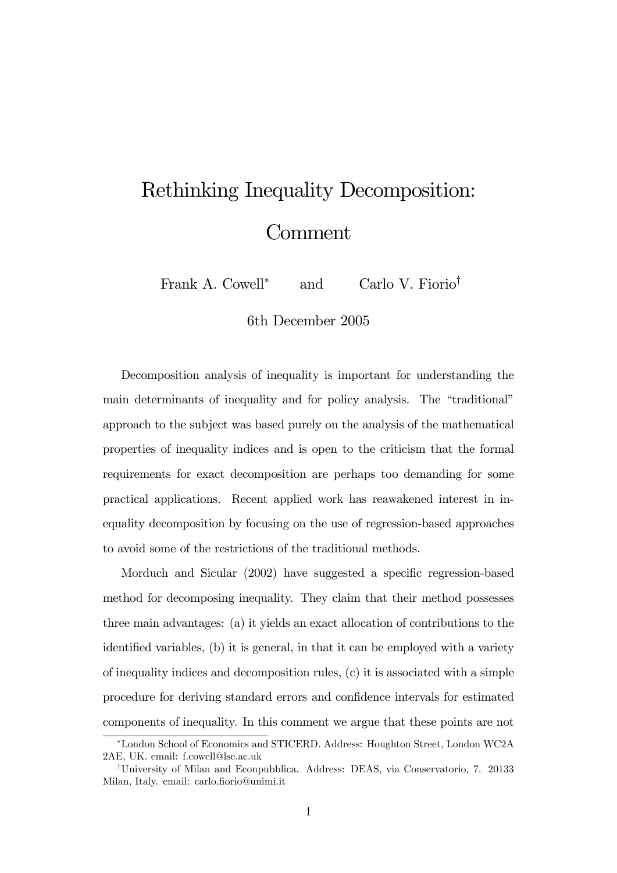# Rethinking Inequality Decomposition: Comment

Frank A. Cowell<sup>\*</sup> and Carlo V. Fiorio<sup>†</sup>

6th December 2005

Decomposition analysis of inequality is important for understanding the main determinants of inequality and for policy analysis. The "traditional" approach to the subject was based purely on the analysis of the mathematical properties of inequality indices and is open to the criticism that the formal requirements for exact decomposition are perhaps too demanding for some practical applications. Recent applied work has reawakened interest in inequality decomposition by focusing on the use of regression-based approaches to avoid some of the restrictions of the traditional methods.

Morduch and Sicular (2002) have suggested a specific regression-based method for decomposing inequality. They claim that their method possesses three main advantages: (a) it yields an exact allocation of contributions to the identified variables, (b) it is general, in that it can be employed with a variety of inequality indices and decomposition rules, (c) it is associated with a simple procedure for deriving standard errors and confidence intervals for estimated components of inequality. In this comment we argue that these points are not

London School of Economics and STICERD. Address: Houghton Street, London WC2A 2AE, UK. email: f.cowell@lse.ac.uk

<sup>&</sup>lt;sup>†</sup>University of Milan and Econpubblica. Address: DEAS, via Conservatorio, 7. 20133 Milan, Italy. email: carlo.fiorio@unimi.it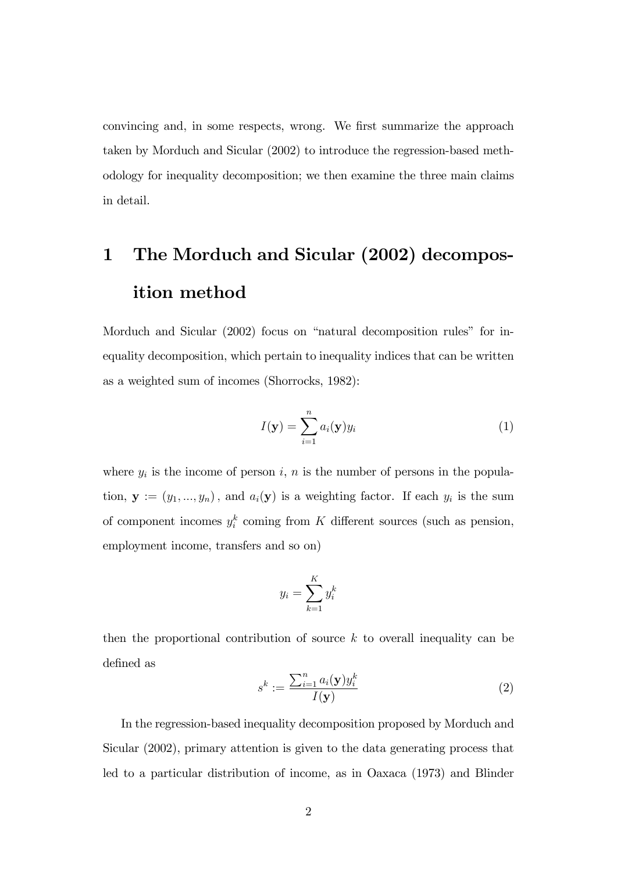convincing and, in some respects, wrong. We first summarize the approach taken by Morduch and Sicular (2002) to introduce the regression-based methodology for inequality decomposition; we then examine the three main claims in detail.

## 1 The Morduch and Sicular (2002) decomposition method

Morduch and Sicular  $(2002)$  focus on "natural decomposition rules" for inequality decomposition, which pertain to inequality indices that can be written as a weighted sum of incomes (Shorrocks, 1982):

$$
I(\mathbf{y}) = \sum_{i=1}^{n} a_i(\mathbf{y}) y_i
$$
 (1)

where  $y_i$  is the income of person i, n is the number of persons in the population,  $\mathbf{y} := (y_1, ..., y_n)$ , and  $a_i(\mathbf{y})$  is a weighting factor. If each  $y_i$  is the sum of component incomes  $y_i^k$  coming from K different sources (such as pension, employment income, transfers and so on)

$$
y_i = \sum_{k=1}^K y_i^k
$$

then the proportional contribution of source  $k$  to overall inequality can be defined as

$$
s^{k} := \frac{\sum_{i=1}^{n} a_{i}(\mathbf{y})y_{i}^{k}}{I(\mathbf{y})}
$$
(2)

In the regression-based inequality decomposition proposed by Morduch and Sicular (2002), primary attention is given to the data generating process that led to a particular distribution of income, as in Oaxaca (1973) and Blinder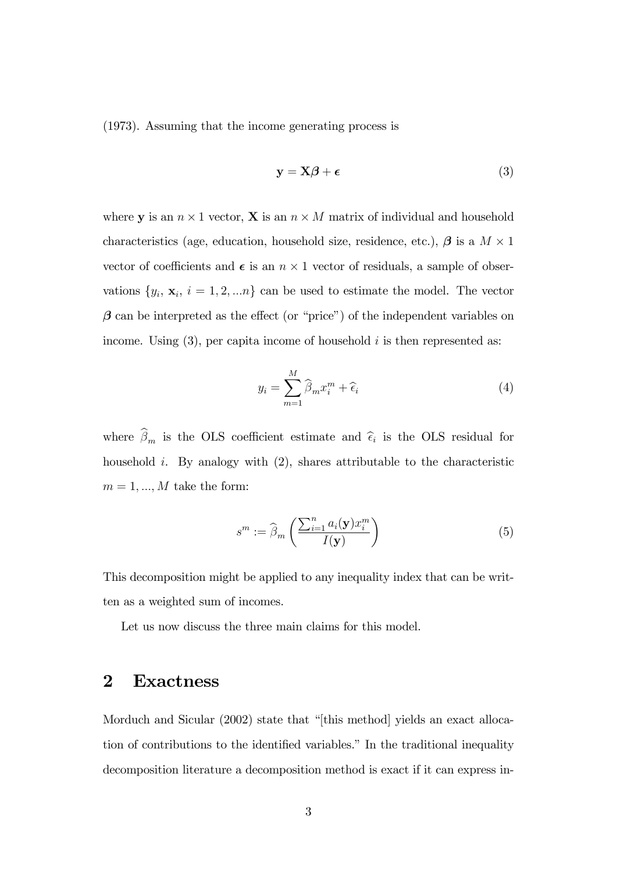(1973). Assuming that the income generating process is

$$
y = X\beta + \epsilon \tag{3}
$$

where **y** is an  $n \times 1$  vector, **X** is an  $n \times M$  matrix of individual and household characteristics (age, education, household size, residence, etc.),  $\beta$  is a  $M \times 1$ vector of coefficients and  $\epsilon$  is an  $n \times 1$  vector of residuals, a sample of observations  $\{y_i, x_i, i = 1, 2, \ldots n\}$  can be used to estimate the model. The vector  $\beta$  can be interpreted as the effect (or "price") of the independent variables on income. Using  $(3)$ , per capita income of household i is then represented as:

$$
y_i = \sum_{m=1}^{M} \widehat{\beta}_m x_i^m + \widehat{\epsilon}_i \tag{4}
$$

where  $\beta_m$  is the OLS coefficient estimate and  $\hat{\epsilon}_i$  is the OLS residual for household *i*. By analogy with  $(2)$ , shares attributable to the characteristic  $m = 1, ..., M$  take the form:

$$
s^{m} := \widehat{\beta}_{m} \left( \frac{\sum_{i=1}^{n} a_{i}(\mathbf{y}) x_{i}^{m}}{I(\mathbf{y})} \right)
$$
(5)

This decomposition might be applied to any inequality index that can be written as a weighted sum of incomes.

Let us now discuss the three main claims for this model.

### 2 Exactness

Morduch and Sicular (2002) state that "[this method] yields an exact allocation of contributions to the identified variables." In the traditional inequality decomposition literature a decomposition method is exact if it can express in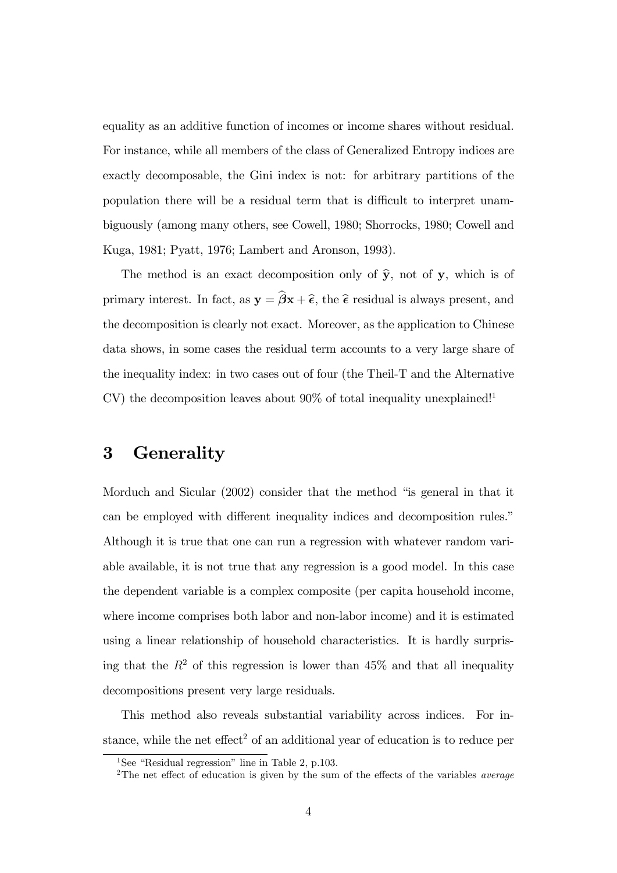equality as an additive function of incomes or income shares without residual. For instance, while all members of the class of Generalized Entropy indices are exactly decomposable, the Gini index is not: for arbitrary partitions of the population there will be a residual term that is difficult to interpret unambiguously (among many others, see Cowell, 1980; Shorrocks, 1980; Cowell and Kuga, 1981; Pyatt, 1976; Lambert and Aronson, 1993).

The method is an exact decomposition only of  $\hat{y}$ , not of y, which is of primary interest. In fact, as  $y = \hat{\beta}x + \hat{\epsilon}$ , the  $\hat{\epsilon}$  residual is always present, and the decomposition is clearly not exact. Moreover, as the application to Chinese data shows, in some cases the residual term accounts to a very large share of the inequality index: in two cases out of four (the Theil-T and the Alternative  $CV$ ) the decomposition leaves about 90% of total inequality unexplained!<sup>1</sup>

### 3 Generality

Morduch and Sicular  $(2002)$  consider that the method "is general in that it can be employed with different inequality indices and decomposition rules." Although it is true that one can run a regression with whatever random variable available, it is not true that any regression is a good model. In this case the dependent variable is a complex composite (per capita household income, where income comprises both labor and non-labor income) and it is estimated using a linear relationship of household characteristics. It is hardly surprising that the  $R^2$  of this regression is lower than 45% and that all inequality decompositions present very large residuals.

This method also reveals substantial variability across indices. For instance, while the net effect<sup>2</sup> of an additional year of education is to reduce per

<sup>&</sup>lt;sup>1</sup>See "Residual regression" line in Table 2, p.103.

<sup>&</sup>lt;sup>2</sup>The net effect of education is given by the sum of the effects of the variables *average*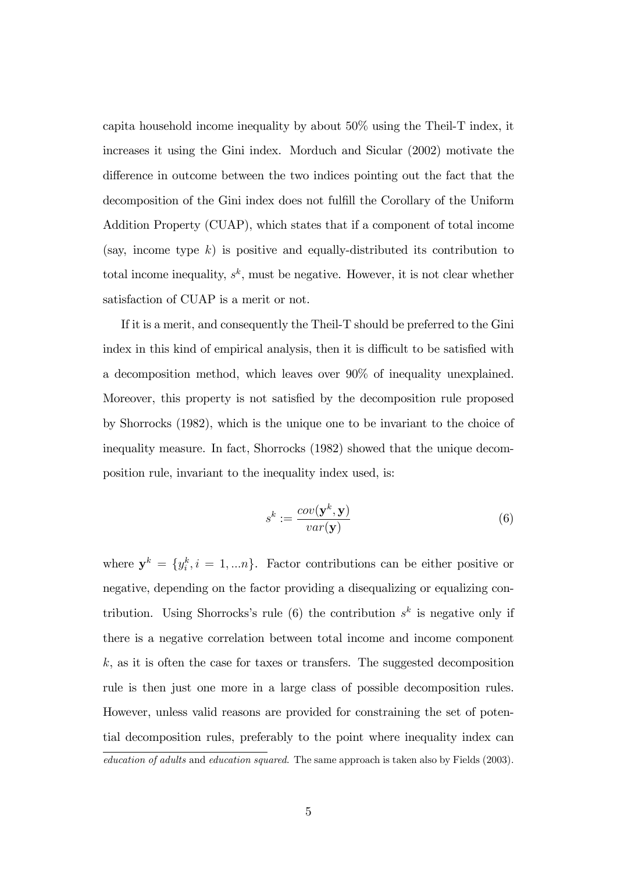capita household income inequality by about 50% using the Theil-T index, it increases it using the Gini index. Morduch and Sicular (2002) motivate the difference in outcome between the two indices pointing out the fact that the decomposition of the Gini index does not fulfill the Corollary of the Uniform Addition Property (CUAP), which states that if a component of total income (say, income type  $k$ ) is positive and equally-distributed its contribution to total income inequality,  $s^k$ , must be negative. However, it is not clear whether satisfaction of CUAP is a merit or not.

If it is a merit, and consequently the Theil-T should be preferred to the Gini index in this kind of empirical analysis, then it is difficult to be satisfied with a decomposition method, which leaves over 90% of inequality unexplained. Moreover, this property is not satisfied by the decomposition rule proposed by Shorrocks (1982), which is the unique one to be invariant to the choice of inequality measure. In fact, Shorrocks (1982) showed that the unique decomposition rule, invariant to the inequality index used, is:

$$
s^k := \frac{cov(\mathbf{y}^k, \mathbf{y})}{var(\mathbf{y})}
$$
(6)

where  $y^k = \{y_i^k, i = 1, \dots n\}$ . Factor contributions can be either positive or negative, depending on the factor providing a disequalizing or equalizing contribution. Using Shorrocks's rule (6) the contribution  $s<sup>k</sup>$  is negative only if there is a negative correlation between total income and income component  $k$ , as it is often the case for taxes or transfers. The suggested decomposition rule is then just one more in a large class of possible decomposition rules. However, unless valid reasons are provided for constraining the set of potential decomposition rules, preferably to the point where inequality index can

education of adults and education squared. The same approach is taken also by Fields (2003).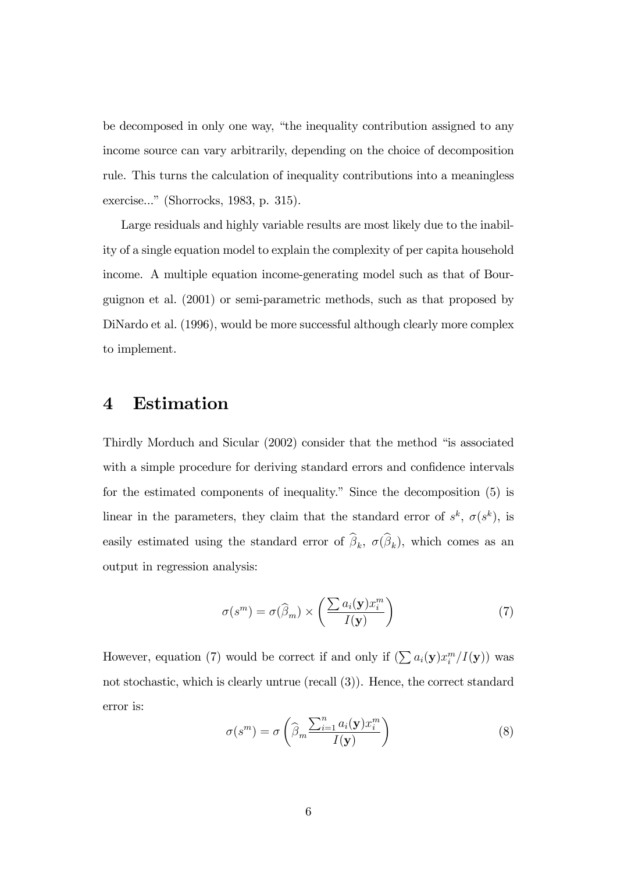be decomposed in only one way, "the inequality contribution assigned to any income source can vary arbitrarily, depending on the choice of decomposition rule. This turns the calculation of inequality contributions into a meaningless exercise..." (Shorrocks, 1983, p. 315).

Large residuals and highly variable results are most likely due to the inability of a single equation model to explain the complexity of per capita household income. A multiple equation income-generating model such as that of Bourguignon et al. (2001) or semi-parametric methods, such as that proposed by DiNardo et al. (1996), would be more successful although clearly more complex to implement.

#### 4 Estimation

Thirdly Morduch and Sicular (2002) consider that the method "is associated with a simple procedure for deriving standard errors and confidence intervals for the estimated components of inequality." Since the decomposition  $(5)$  is linear in the parameters, they claim that the standard error of  $s^k$ ,  $\sigma(s^k)$ , is easily estimated using the standard error of  $\beta_k$ ,  $\sigma(\beta_k)$ , which comes as an output in regression analysis:

$$
\sigma(s^m) = \sigma(\widehat{\beta}_m) \times \left(\frac{\sum a_i(\mathbf{y})x_i^m}{I(\mathbf{y})}\right) \tag{7}
$$

However, equation (7) would be correct if and only if  $(\sum a_i(\mathbf{y})x_i^m / I(\mathbf{y}))$  was not stochastic, which is clearly untrue (recall (3)). Hence, the correct standard error is:

$$
\sigma(s^m) = \sigma\left(\widehat{\beta}_m \frac{\sum_{i=1}^n a_i(\mathbf{y}) x_i^m}{I(\mathbf{y})}\right)
$$
\n(8)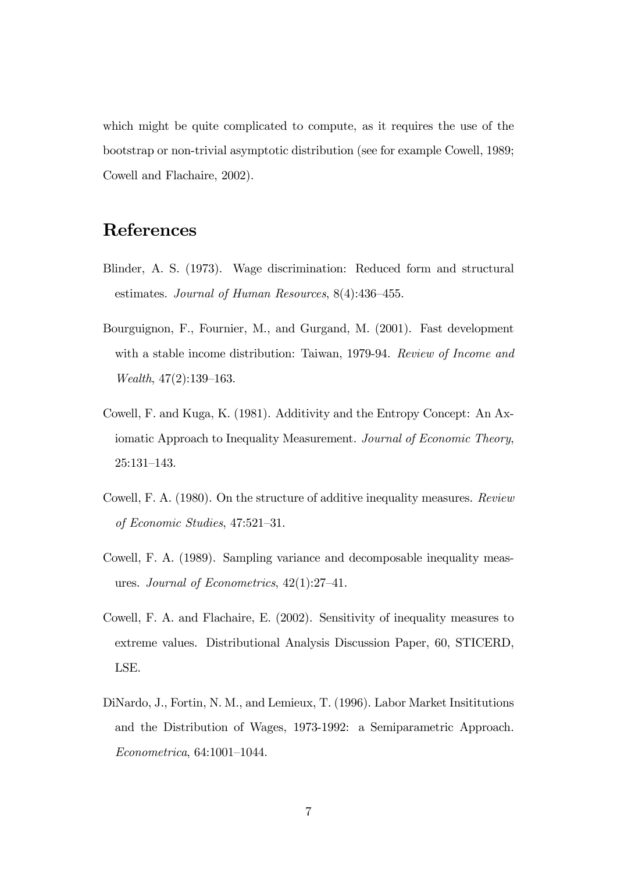which might be quite complicated to compute, as it requires the use of the bootstrap or non-trivial asymptotic distribution (see for example Cowell, 1989; Cowell and Flachaire, 2002).

### References

- Blinder, A. S. (1973). Wage discrimination: Reduced form and structural estimates. Journal of Human Resources,  $8(4):436-455$ .
- Bourguignon, F., Fournier, M., and Gurgand, M. (2001). Fast development with a stable income distribution: Taiwan, 1979-94. Review of Income and Wealth,  $47(2):139-163$ .
- Cowell, F. and Kuga, K. (1981). Additivity and the Entropy Concept: An Axiomatic Approach to Inequality Measurement. Journal of Economic Theory,  $25:131-143.$
- Cowell, F. A. (1980). On the structure of additive inequality measures. Review of Economic Studies,  $47:521-31$ .
- Cowell, F. A. (1989). Sampling variance and decomposable inequality measures. Journal of Econometrics,  $42(1):27-41$ .
- Cowell, F. A. and Flachaire, E. (2002). Sensitivity of inequality measures to extreme values. Distributional Analysis Discussion Paper, 60, STICERD, LSE.
- DiNardo, J., Fortin, N. M., and Lemieux, T. (1996). Labor Market Insititutions and the Distribution of Wages, 1973-1992: a Semiparametric Approach.  $Econometrica, 64:1001-1044.$